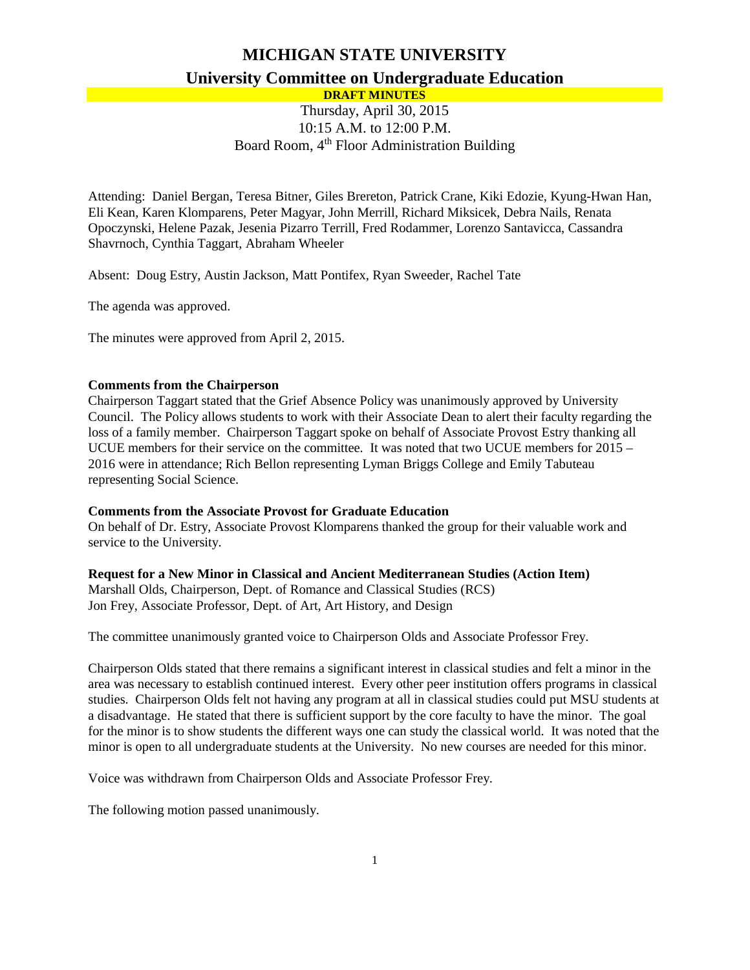# **MICHIGAN STATE UNIVERSITY University Committee on Undergraduate Education DRAFT MINUTES**

# Thursday, April 30, 2015 10:15 A.M. to 12:00 P.M. Board Room, 4<sup>th</sup> Floor Administration Building

Attending: Daniel Bergan, Teresa Bitner, Giles Brereton, Patrick Crane, Kiki Edozie, Kyung-Hwan Han, Eli Kean, Karen Klomparens, Peter Magyar, John Merrill, Richard Miksicek, Debra Nails, Renata Opoczynski, Helene Pazak, Jesenia Pizarro Terrill, Fred Rodammer, Lorenzo Santavicca, Cassandra Shavrnoch, Cynthia Taggart, Abraham Wheeler

Absent: Doug Estry, Austin Jackson, Matt Pontifex, Ryan Sweeder, Rachel Tate

The agenda was approved.

The minutes were approved from April 2, 2015.

### **Comments from the Chairperson**

Chairperson Taggart stated that the Grief Absence Policy was unanimously approved by University Council. The Policy allows students to work with their Associate Dean to alert their faculty regarding the loss of a family member. Chairperson Taggart spoke on behalf of Associate Provost Estry thanking all UCUE members for their service on the committee. It was noted that two UCUE members for 2015 – 2016 were in attendance; Rich Bellon representing Lyman Briggs College and Emily Tabuteau representing Social Science.

#### **Comments from the Associate Provost for Graduate Education**

On behalf of Dr. Estry, Associate Provost Klomparens thanked the group for their valuable work and service to the University.

### **Request for a New Minor in Classical and Ancient Mediterranean Studies (Action Item)**

Marshall Olds, Chairperson, Dept. of Romance and Classical Studies (RCS) Jon Frey, Associate Professor, Dept. of Art, Art History, and Design

The committee unanimously granted voice to Chairperson Olds and Associate Professor Frey.

Chairperson Olds stated that there remains a significant interest in classical studies and felt a minor in the area was necessary to establish continued interest. Every other peer institution offers programs in classical studies. Chairperson Olds felt not having any program at all in classical studies could put MSU students at a disadvantage. He stated that there is sufficient support by the core faculty to have the minor. The goal for the minor is to show students the different ways one can study the classical world. It was noted that the minor is open to all undergraduate students at the University. No new courses are needed for this minor.

Voice was withdrawn from Chairperson Olds and Associate Professor Frey.

The following motion passed unanimously.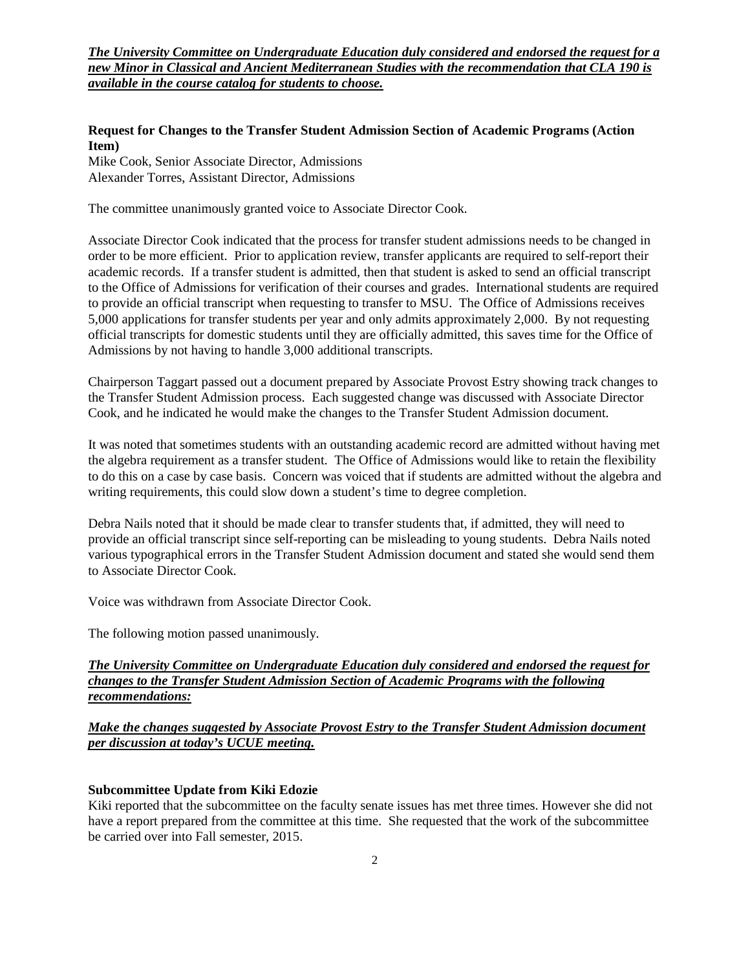*The University Committee on Undergraduate Education duly considered and endorsed the request for a new Minor in Classical and Ancient Mediterranean Studies with the recommendation that CLA 190 is available in the course catalog for students to choose.* 

# **Request for Changes to the Transfer Student Admission Section of Academic Programs (Action Item)**

Mike Cook, Senior Associate Director, Admissions Alexander Torres, Assistant Director, Admissions

The committee unanimously granted voice to Associate Director Cook.

Associate Director Cook indicated that the process for transfer student admissions needs to be changed in order to be more efficient. Prior to application review, transfer applicants are required to self-report their academic records. If a transfer student is admitted, then that student is asked to send an official transcript to the Office of Admissions for verification of their courses and grades. International students are required to provide an official transcript when requesting to transfer to MSU. The Office of Admissions receives 5,000 applications for transfer students per year and only admits approximately 2,000. By not requesting official transcripts for domestic students until they are officially admitted, this saves time for the Office of Admissions by not having to handle 3,000 additional transcripts.

Chairperson Taggart passed out a document prepared by Associate Provost Estry showing track changes to the Transfer Student Admission process. Each suggested change was discussed with Associate Director Cook, and he indicated he would make the changes to the Transfer Student Admission document.

It was noted that sometimes students with an outstanding academic record are admitted without having met the algebra requirement as a transfer student. The Office of Admissions would like to retain the flexibility to do this on a case by case basis. Concern was voiced that if students are admitted without the algebra and writing requirements, this could slow down a student's time to degree completion.

Debra Nails noted that it should be made clear to transfer students that, if admitted, they will need to provide an official transcript since self-reporting can be misleading to young students. Debra Nails noted various typographical errors in the Transfer Student Admission document and stated she would send them to Associate Director Cook.

Voice was withdrawn from Associate Director Cook.

The following motion passed unanimously.

*The University Committee on Undergraduate Education duly considered and endorsed the request for changes to the Transfer Student Admission Section of Academic Programs with the following recommendations:*

# *Make the changes suggested by Associate Provost Estry to the Transfer Student Admission document per discussion at today's UCUE meeting.*

### **Subcommittee Update from Kiki Edozie**

Kiki reported that the subcommittee on the faculty senate issues has met three times. However she did not have a report prepared from the committee at this time. She requested that the work of the subcommittee be carried over into Fall semester, 2015.